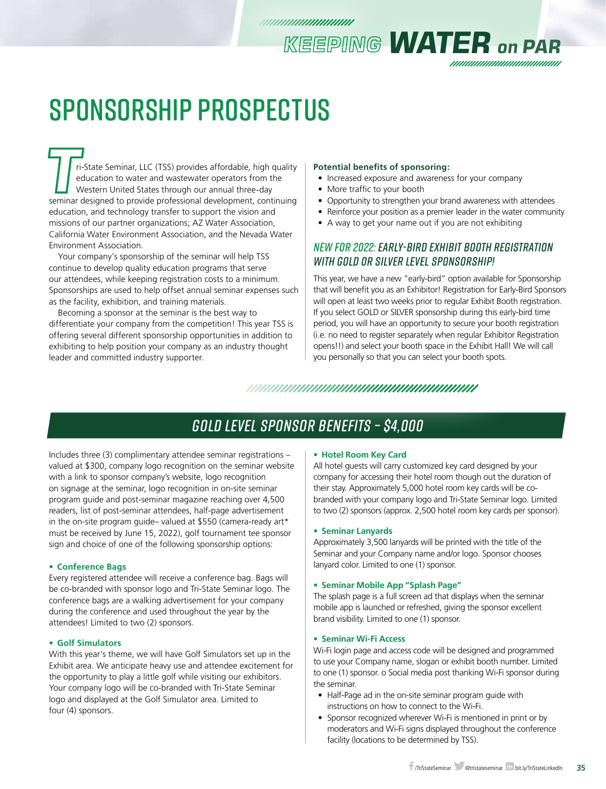## SPONSORSHIP PROSPECTUS

**Tri-State Seminar, LLC** (TSS) provides affordable, high quality education to water and wastewater operators from the Western United States through our annual three-day seminar designed to provide professional development, education to water and wastewater operators from the Western United States through our annual three-day education, and technology transfer to support the vision and missions of our partner organizations; AZ Water Association, California Water Environment Association, and the Nevada Water Environment Association.

Your company's sponsorship of the seminar will help TSS continue to develop quality education programs that serve our attendees, while keeping registration costs to a minimum. Sponsorships are used to help offset annual seminar expenses such as the facility, exhibition, and training materials.

Becoming a sponsor at the seminar is the best way to differentiate your company from the competition! This year TSS is offering several different sponsorship opportunities in addition to exhibiting to help position your company as an industry thought leader and committed industry supporter.

#### **Potential benefits of sponsoring:**

• Increased exposure and awareness for your company

*KEEPING WATER on PAR*

- More traffic to your booth
- Opportunity to strengthen your brand awareness with attendees
- Reinforce your position as a premier leader in the water community
- A way to get your name out if you are not exhibiting

### *NEW FOR 2022: EARLY-BIRD EXHIBIT BOOTH REGISTRATION WITH GOLD OR SILVER LEVEL SPONSORSHIP!*

This year, we have a new "early-bird" option available for Sponsorship that will benefit you as an Exhibitor! Registration for Early-Bird Sponsors will open at least two weeks prior to regular Exhibit Booth registration. If you select GOLD or SILVER sponsorship during this early-bird time period, you will have an opportunity to secure your booth registration (i.e. no need to register separately when regular Exhibitor Registration opens!!) and select your booth space in the Exhibit Hall! We will call you personally so that you can select your booth spots.

### 

### *GOLD LEVEL SPONSOR BENEFITS – \$4,000*

Includes three (3) complimentary attendee seminar registrations – valued at \$300, company logo recognition on the seminar website with a link to sponsor company's website, logo recognition on signage at the seminar, logo recognition in on-site seminar program guide and post-seminar magazine reaching over 4,500 readers, list of post-seminar attendees, half-page advertisement in the on-site program guide– valued at \$550 (camera-ready art\* must be received by June 15, 2022), golf tournament tee sponsor sign and choice of one of the following sponsorship options:

### **• Conference Bags**

Every registered attendee will receive a conference bag. Bags will be co-branded with sponsor logo and Tri-State Seminar logo. The conference bags are a walking advertisement for your company during the conference and used throughout the year by the attendees! Limited to two (2) sponsors.

### **• Golf Simulators**

With this year's theme, we will have Golf Simulators set up in the Exhibit area. We anticipate heavy use and attendee excitement for the opportunity to play a little golf while visiting our exhibitors. Your company logo will be co-branded with Tri-State Seminar logo and displayed at the Golf Simulator area. Limited to four (4) sponsors.

#### **• Hotel Room Key Card**

All hotel guests will carry customized key card designed by your company for accessing their hotel room though out the duration of their stay. Approximately 5,000 hotel room key cards will be cobranded with your company logo and Tri-State Seminar logo. Limited to two (2) sponsors (approx. 2,500 hotel room key cards per sponsor).

#### **• Seminar Lanyards**

Approximately 3,500 lanyards will be printed with the title of the Seminar and your Company name and/or logo. Sponsor chooses lanyard color. Limited to one (1) sponsor.

#### **• Seminar Mobile App "Splash Page"**

The splash page is a full screen ad that displays when the seminar mobile app is launched or refreshed, giving the sponsor excellent brand visibility. Limited to one (1) sponsor.

### **• Seminar Wi-Fi Access**

Wi-Fi login page and access code will be designed and programmed to use your Company name, slogan or exhibit booth number. Limited to one (1) sponsor. o Social media post thanking Wi-Fi sponsor during the seminar.

- Half-Page ad in the on-site seminar program guide with instructions on how to connect to the Wi-Fi.
- Sponsor recognized wherever Wi-Fi is mentioned in print or by moderators and Wi-Fi signs displayed throughout the conference facility (locations to be determined by TSS).